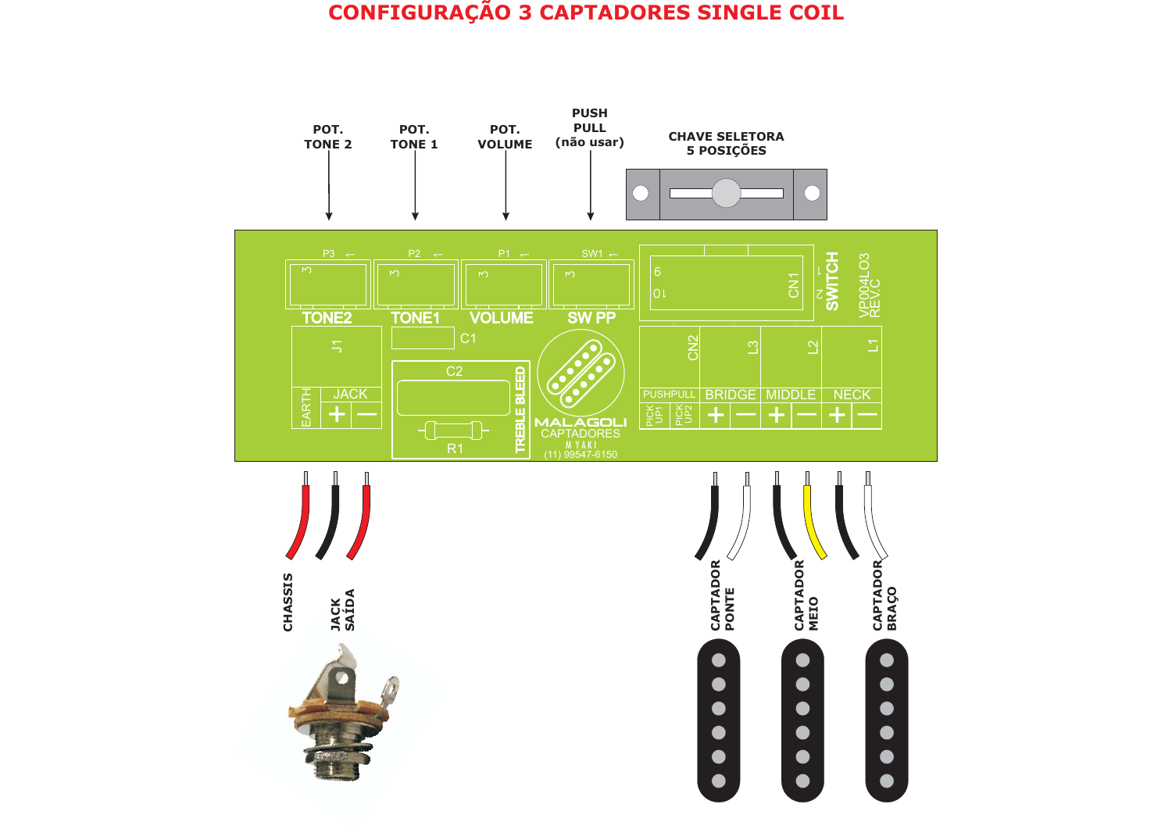## **CONFIGURAÇÃO <sup>3</sup> CAPTADORES SINGLE COIL**

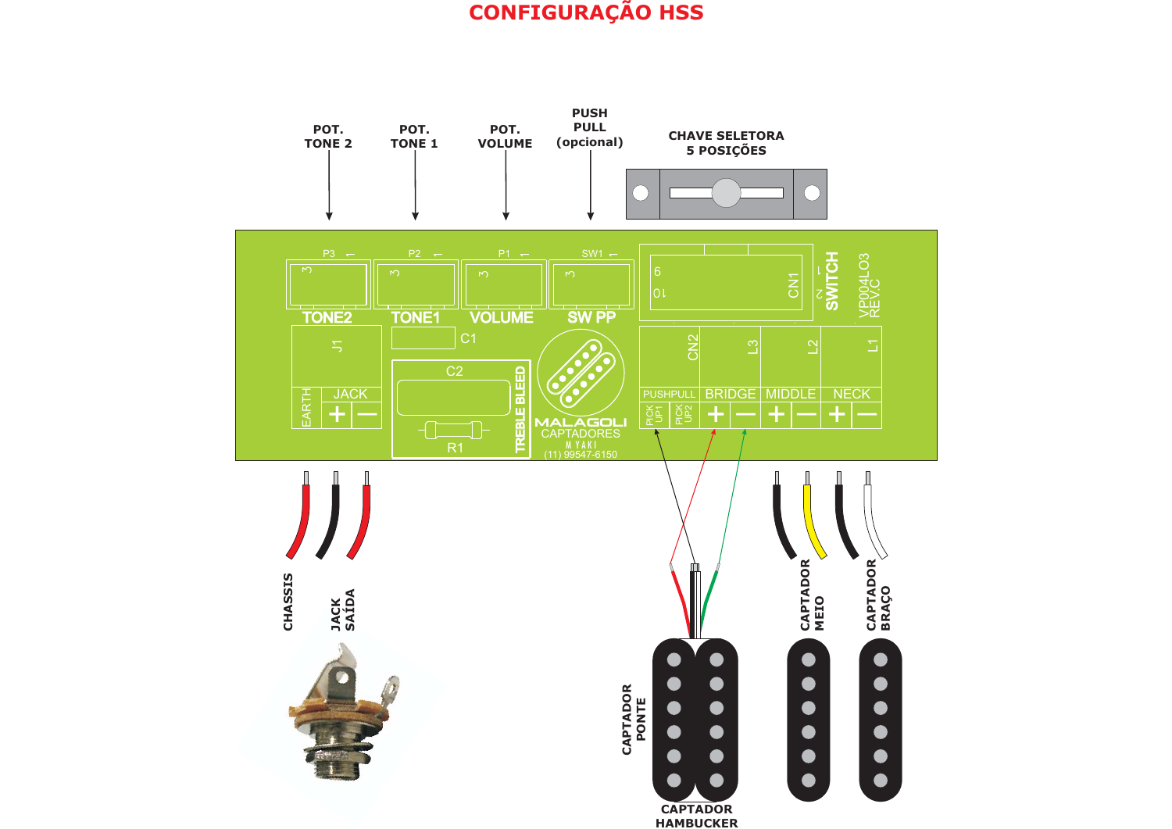## **CONFIGURAÇÃO HSS**